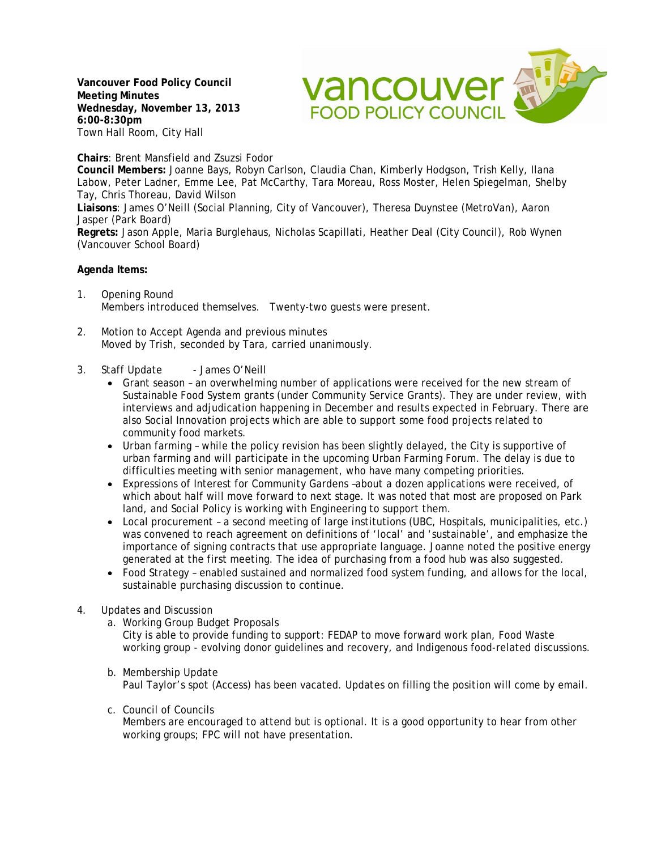**Vancouver Food Policy Council Meeting Minutes Wednesday, November 13, 2013 6:00-8:30pm** Town Hall Room, City Hall



**Chairs**: Brent Mansfield and Zsuzsi Fodor

**Council Members:** Joanne Bays, Robyn Carlson, Claudia Chan, Kimberly Hodgson, Trish Kelly, Ilana Labow, Peter Ladner, Emme Lee, Pat McCarthy, Tara Moreau, Ross Moster, Helen Spiegelman, Shelby Tay, Chris Thoreau, David Wilson

**Liaisons**: James O'Neill (Social Planning, City of Vancouver), Theresa Duynstee (MetroVan), Aaron Jasper (Park Board)

**Regrets:** Jason Apple, Maria Burglehaus, Nicholas Scapillati, Heather Deal (City Council), Rob Wynen (Vancouver School Board)

## **Agenda Items:**

- 1. Opening Round Members introduced themselves. Twenty-two guests were present.
- 2. Motion to Accept Agenda and previous minutes Moved by Trish, seconded by Tara, carried unanimously.
- 3. Staff Update James O'Neill
	- Grant season an overwhelming number of applications were received for the new stream of Sustainable Food System grants (under Community Service Grants). They are under review, with interviews and adjudication happening in December and results expected in February. There are also Social Innovation projects which are able to support some food projects related to community food markets.
	- Urban farming while the policy revision has been slightly delayed, the City is supportive of urban farming and will participate in the upcoming Urban Farming Forum. The delay is due to difficulties meeting with senior management, who have many competing priorities.
	- Expressions of Interest for Community Gardens –about a dozen applications were received, of which about half will move forward to next stage. It was noted that most are proposed on Park land, and Social Policy is working with Engineering to support them.
	- Local procurement a second meeting of large institutions (UBC, Hospitals, municipalities, etc.) was convened to reach agreement on definitions of 'local' and 'sustainable', and emphasize the importance of signing contracts that use appropriate language. Joanne noted the positive energy generated at the first meeting. The idea of purchasing from a food hub was also suggested.
	- Food Strategy enabled sustained and normalized food system funding, and allows for the local, sustainable purchasing discussion to continue.

## 4. Updates and Discussion

- a. Working Group Budget Proposals
	- City is able to provide funding to support: FEDAP to move forward work plan, Food Waste working group - evolving donor guidelines and recovery, and Indigenous food-related discussions.
- b. Membership Update Paul Taylor's spot (Access) has been vacated. Updates on filling the position will come by email.
- c. Council of Councils

Members are encouraged to attend but is optional. It is a good opportunity to hear from other working groups; FPC will not have presentation.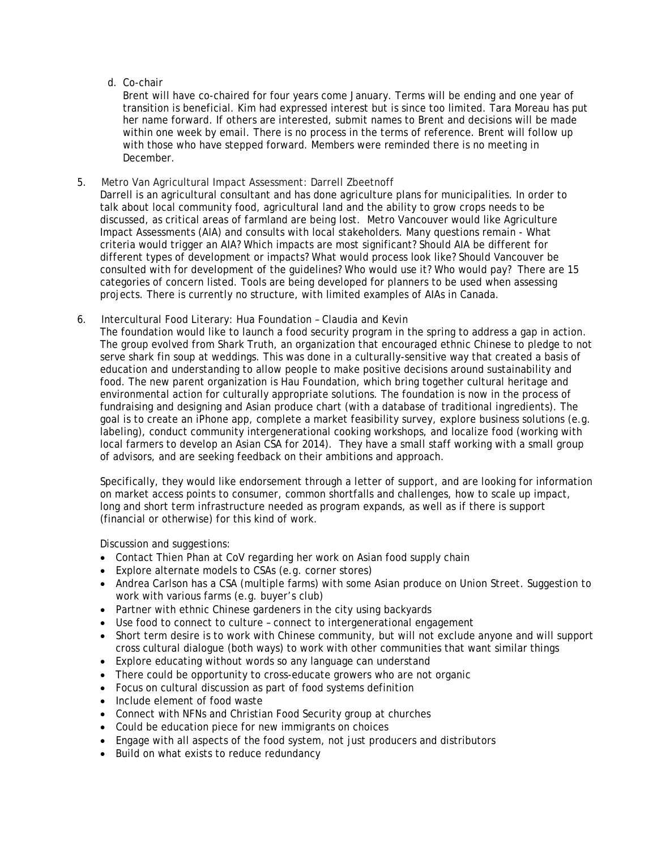## d. Co-chair

Brent will have co-chaired for four years come January. Terms will be ending and one year of transition is beneficial. Kim had expressed interest but is since too limited. Tara Moreau has put her name forward. If others are interested, submit names to Brent and decisions will be made within one week by email. There is no process in the terms of reference. Brent will follow up with those who have stepped forward. Members were reminded there is no meeting in December.

5. Metro Van Agricultural Impact Assessment: Darrell Zbeetnoff

Darrell is an agricultural consultant and has done agriculture plans for municipalities. In order to talk about local community food, agricultural land and the ability to grow crops needs to be discussed, as critical areas of farmland are being lost. Metro Vancouver would like Agriculture Impact Assessments (AIA) and consults with local stakeholders. Many questions remain - What criteria would trigger an AIA? Which impacts are most significant? Should AIA be different for different types of development or impacts? What would process look like? Should Vancouver be consulted with for development of the guidelines? Who would use it? Who would pay? There are 15 categories of concern listed. Tools are being developed for planners to be used when assessing projects. There is currently no structure, with limited examples of AIAs in Canada.

6. Intercultural Food Literary: Hua Foundation – Claudia and Kevin

The foundation would like to launch a food security program in the spring to address a gap in action. The group evolved from Shark Truth, an organization that encouraged ethnic Chinese to pledge to not serve shark fin soup at weddings. This was done in a culturally-sensitive way that created a basis of education and understanding to allow people to make positive decisions around sustainability and food. The new parent organization is Hau Foundation, which bring together cultural heritage and environmental action for culturally appropriate solutions. The foundation is now in the process of fundraising and designing and Asian produce chart (with a database of traditional ingredients). The goal is to create an iPhone app, complete a market feasibility survey, explore business solutions (e.g. labeling), conduct community intergenerational cooking workshops, and localize food (working with local farmers to develop an Asian CSA for 2014). They have a small staff working with a small group of advisors, and are seeking feedback on their ambitions and approach.

Specifically, they would like endorsement through a letter of support, and are looking for information on market access points to consumer, common shortfalls and challenges, how to scale up impact, long and short term infrastructure needed as program expands, as well as if there is support (financial or otherwise) for this kind of work.

Discussion and suggestions:

- Contact Thien Phan at CoV regarding her work on Asian food supply chain
- Explore alternate models to CSAs (e.g. corner stores)
- Andrea Carlson has a CSA (multiple farms) with some Asian produce on Union Street. Suggestion to work with various farms (e.g. buyer's club)
- Partner with ethnic Chinese gardeners in the city using backyards
- Use food to connect to culture connect to intergenerational engagement
- Short term desire is to work with Chinese community, but will not exclude anyone and will support cross cultural dialogue (both ways) to work with other communities that want similar things
- Explore educating without words so any language can understand
- There could be opportunity to cross-educate growers who are not organic
- Focus on cultural discussion as part of food systems definition
- Include element of food waste
- Connect with NFNs and Christian Food Security group at churches
- Could be education piece for new immigrants on choices
- Engage with all aspects of the food system, not just producers and distributors
- Build on what exists to reduce redundancy